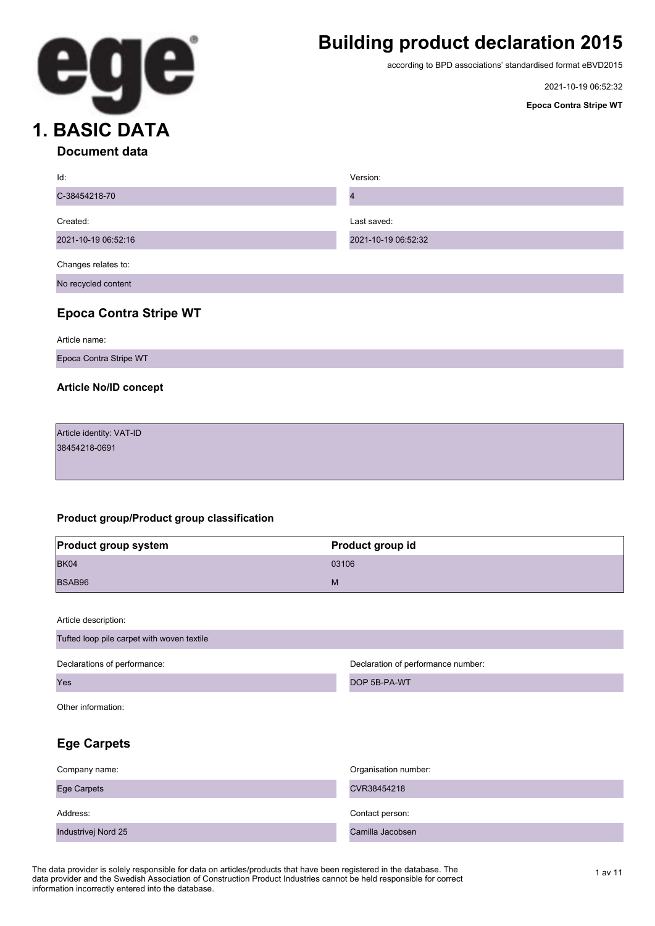

# **Building product declaration 2015**

according to BPD associations' standardised format eBVD2015

2021-10-19 06:52:32

**Epoca Contra Stripe WT**

| Id:                 | Version:            |
|---------------------|---------------------|
| C-38454218-70       |                     |
|                     |                     |
| Created:            | Last saved:         |
| 2021-10-19 06:52:16 | 2021-10-19 06:52:32 |
|                     |                     |
| Changes relates to: |                     |
| No recycled content |                     |

### **Epoca Contra Stripe WT**

Article name:

Epoca Contra Stripe WT

#### **Article No/ID concept**

Article identity: VAT-ID 38454218-0691

#### **Product group/Product group classification**

| <b>Product group system</b> | Product group id |
|-----------------------------|------------------|
| BK04                        | 03106            |
| BSAB96                      | M                |

Article description:

| Tufted loop pile carpet with woven textile |                                    |
|--------------------------------------------|------------------------------------|
| Declarations of performance:               | Declaration of performance number: |
| Yes                                        | DOP 5B-PA-WT                       |
| Other information:                         |                                    |
| <b>Ege Carpets</b>                         |                                    |
|                                            |                                    |

| Company name:       | Organisation number: |
|---------------------|----------------------|
| <b>Ege Carpets</b>  | CVR38454218          |
| Address:            | Contact person:      |
| Industrivej Nord 25 | Camilla Jacobsen     |

The data provider is solely responsible for data on articles/products that have been registered in the database. The 1 av 11 av 11 data provider and the Swedish Association of Construction Product Industries cannot be held responsible for correct information incorrectly entered into the database.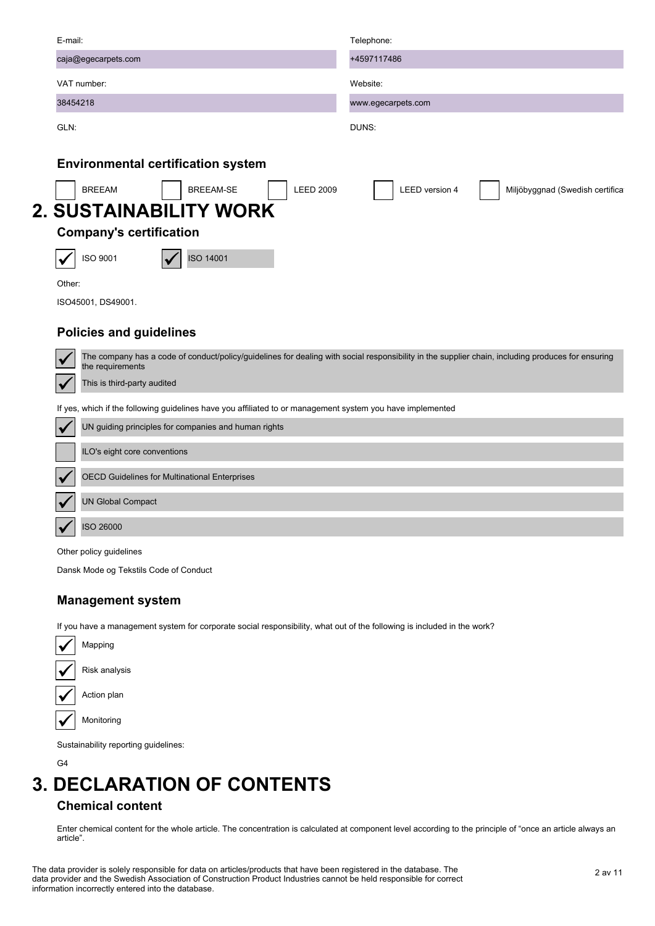| E-mail:                                                                                                    | Telephone:                                                                                                                                        |
|------------------------------------------------------------------------------------------------------------|---------------------------------------------------------------------------------------------------------------------------------------------------|
| caja@egecarpets.com                                                                                        | +4597117486                                                                                                                                       |
| VAT number:                                                                                                | Website:                                                                                                                                          |
| 38454218                                                                                                   | www.egecarpets.com                                                                                                                                |
| GLN:                                                                                                       | DUNS:                                                                                                                                             |
| <b>Environmental certification system</b>                                                                  |                                                                                                                                                   |
| <b>BREEAM-SE</b><br><b>BREEAM</b><br><b>LEED 2009</b>                                                      | <b>LEED</b> version 4<br>Miljöbyggnad (Swedish certifica                                                                                          |
| <b>2. SUSTAINABILITY WORK</b>                                                                              |                                                                                                                                                   |
| <b>Company's certification</b>                                                                             |                                                                                                                                                   |
| <b>ISO 14001</b><br>ISO 9001                                                                               |                                                                                                                                                   |
| Other:                                                                                                     |                                                                                                                                                   |
| ISO45001, DS49001.                                                                                         |                                                                                                                                                   |
| <b>Policies and guidelines</b>                                                                             |                                                                                                                                                   |
| the requirements                                                                                           | The company has a code of conduct/policy/guidelines for dealing with social responsibility in the supplier chain, including produces for ensuring |
| This is third-party audited                                                                                |                                                                                                                                                   |
| If yes, which if the following guidelines have you affiliated to or management system you have implemented |                                                                                                                                                   |
| UN guiding principles for companies and human rights                                                       |                                                                                                                                                   |
| ILO's eight core conventions                                                                               |                                                                                                                                                   |
| <b>OECD Guidelines for Multinational Enterprises</b>                                                       |                                                                                                                                                   |
| <b>UN Global Compact</b>                                                                                   |                                                                                                                                                   |
| ISO 26000                                                                                                  |                                                                                                                                                   |
| Other policy guidelines                                                                                    |                                                                                                                                                   |

Dansk Mode og Tekstils Code of Conduct

### **Management system**

If you have a management system for corporate social responsibility, what out of the following is included in the work?

| Mapping       |
|---------------|
| Risk analysis |
| Action plan   |
| Monitoring    |
|               |

Sustainability reporting guidelines:

G4

# **3. DECLARATION OF CONTENTS**

### **Chemical content**

Enter chemical content for the whole article. The concentration is calculated at component level according to the principle of "once an article always an article".

2 av 11 The data provider is solely responsible for data on articles/products that have been registered in the database. The data provider and the Swedish Association of Construction Product Industries cannot be held responsible for correct information incorrectly entered into the database.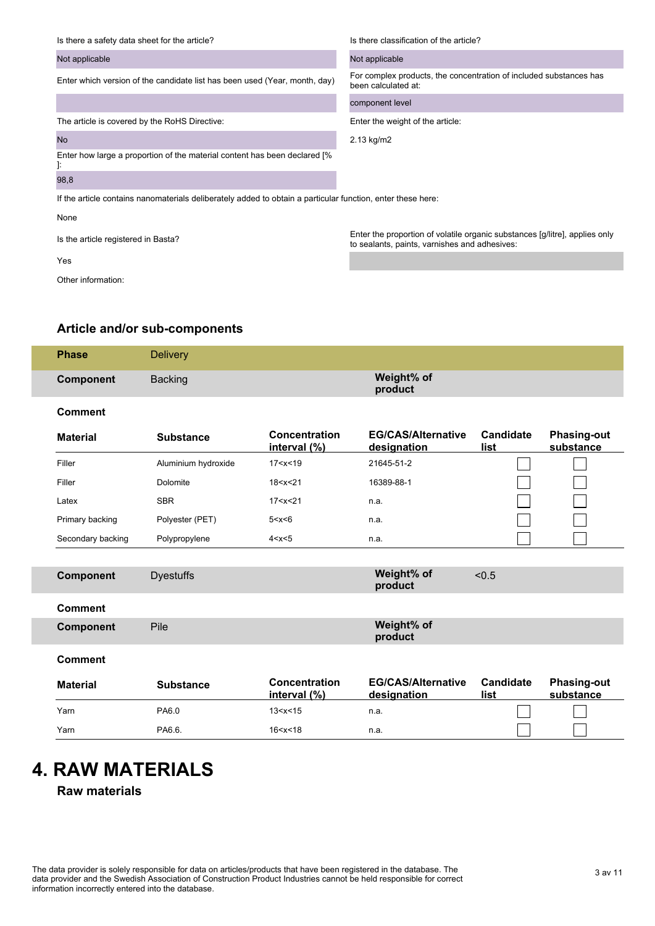| Is there a safety data sheet for the article?                                                               | Is there classification of the article?                                                                                      |
|-------------------------------------------------------------------------------------------------------------|------------------------------------------------------------------------------------------------------------------------------|
| Not applicable                                                                                              | Not applicable                                                                                                               |
| Enter which version of the candidate list has been used (Year, month, day)                                  | For complex products, the concentration of included substances has<br>been calculated at:                                    |
|                                                                                                             | component level                                                                                                              |
| The article is covered by the RoHS Directive:                                                               | Enter the weight of the article:                                                                                             |
| <b>No</b>                                                                                                   | 2.13 kg/m2                                                                                                                   |
| Enter how large a proportion of the material content has been declared [%]<br>ŀ.                            |                                                                                                                              |
| 98,8                                                                                                        |                                                                                                                              |
| If the article contains nanomaterials deliberately added to obtain a particular function, enter these here: |                                                                                                                              |
| None                                                                                                        |                                                                                                                              |
| Is the article registered in Basta?                                                                         | Enter the proportion of volatile organic substances [g/litre], applies only<br>to sealants, paints, varnishes and adhesives: |
| Yes                                                                                                         |                                                                                                                              |

Other information:

### **Article and/or sub-components**

| <b>Phase</b> | <b>Delivery</b> |                       |
|--------------|-----------------|-----------------------|
| Component    | <b>Backing</b>  | Weight% of<br>product |

#### **Comment**

| <b>Material</b>   | <b>Substance</b>    | <b>Concentration</b><br>interval (%) | <b>EG/CAS/Alternative</b><br>designation | Candidate<br>list | <b>Phasing-out</b><br>substance |
|-------------------|---------------------|--------------------------------------|------------------------------------------|-------------------|---------------------------------|
| Filler            | Aluminium hydroxide | 17 < x < 19                          | 21645-51-2                               |                   |                                 |
| Filler            | Dolomite            | 18 < x < 21                          | 16389-88-1                               |                   |                                 |
| Latex             | <b>SBR</b>          | 17 < x < 21                          | n.a.                                     |                   |                                 |
| Primary backing   | Polyester (PET)     | 5 < x < 6                            | n.a.                                     |                   |                                 |
| Secondary backing | Polypropylene       | 4 < x < 5                            | n.a.                                     |                   |                                 |

| <b>Component</b> | <b>Dyestuffs</b> |                                         | Weight% of<br>product                    | < 0.5                    |                                 |
|------------------|------------------|-----------------------------------------|------------------------------------------|--------------------------|---------------------------------|
| <b>Comment</b>   |                  |                                         |                                          |                          |                                 |
| <b>Component</b> | Pile             |                                         | Weight% of<br>product                    |                          |                                 |
| <b>Comment</b>   |                  |                                         |                                          |                          |                                 |
| <b>Material</b>  | <b>Substance</b> | <b>Concentration</b><br>interval $(\%)$ | <b>EG/CAS/Alternative</b><br>designation | <b>Candidate</b><br>list | <b>Phasing-out</b><br>substance |
| Yarn             | PA6.0            | 13 < x < 15                             | n.a.                                     |                          |                                 |
|                  |                  |                                         |                                          |                          |                                 |

# **4. RAW MATERIALS**

**Raw materials**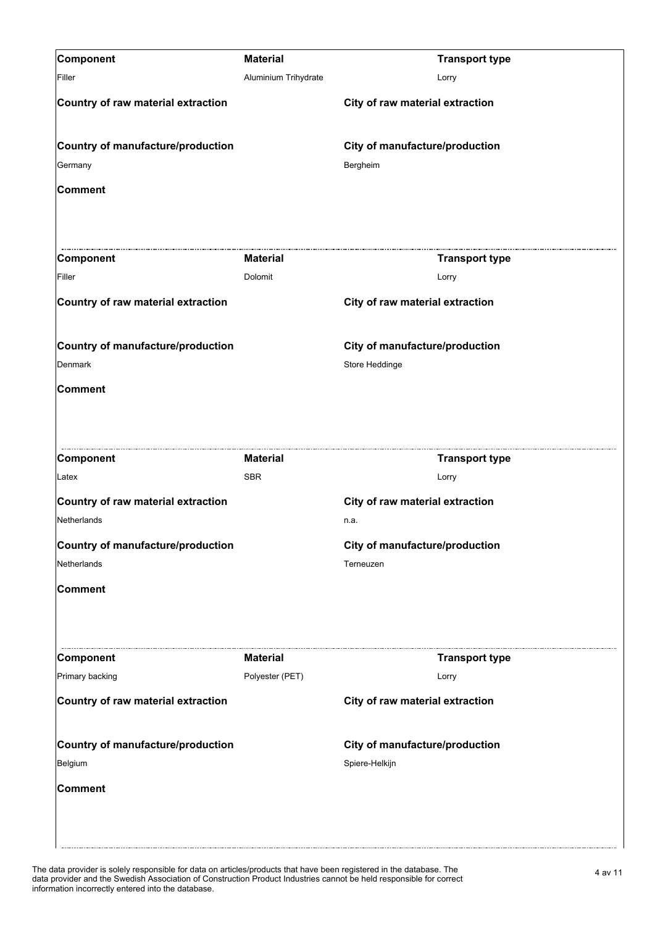| Component                          | <b>Material</b>      | <b>Transport type</b>           |
|------------------------------------|----------------------|---------------------------------|
| Filler                             | Aluminium Trihydrate | Lorry                           |
| Country of raw material extraction |                      | City of raw material extraction |
| Country of manufacture/production  |                      | City of manufacture/production  |
| Germany                            |                      | Bergheim                        |
| Comment                            |                      |                                 |
| Component                          | <b>Material</b>      | <b>Transport type</b>           |
| Filler                             | Dolomit              | Lorry                           |
| Country of raw material extraction |                      | City of raw material extraction |
| Country of manufacture/production  |                      | City of manufacture/production  |
| Denmark                            |                      | Store Heddinge                  |
| Comment                            |                      |                                 |
| Component                          | <b>Material</b>      | <b>Transport type</b>           |
| Latex                              | <b>SBR</b>           | Lorry                           |
| Country of raw material extraction |                      | City of raw material extraction |
| Netherlands                        |                      | n.a.                            |
| Country of manufacture/production  |                      | City of manufacture/production  |
| Netherlands                        |                      | Terneuzen                       |
| Comment                            |                      |                                 |
| Component                          | <b>Material</b>      | <b>Transport type</b>           |
| Primary backing                    | Polyester (PET)      | Lorry                           |
| Country of raw material extraction |                      | City of raw material extraction |
| Country of manufacture/production  |                      | City of manufacture/production  |
| Belgium                            |                      | Spiere-Helkijn                  |
| Comment                            |                      |                                 |
|                                    |                      |                                 |

The data provider is solely responsible for data on articles/products that have been registered in the database. The<br>data provider and the Swedish Association of Construction Product Industries cannot be held responsible f information incorrectly entered into the database.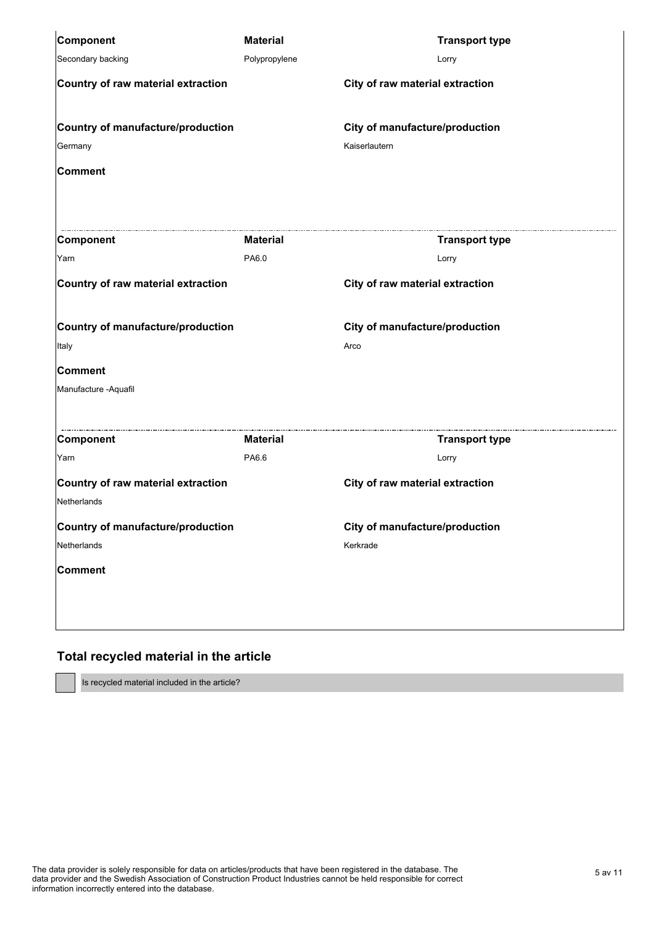| Component                                         | <b>Material</b> | <b>Transport type</b>           |
|---------------------------------------------------|-----------------|---------------------------------|
| Secondary backing                                 | Polypropylene   | Lorry                           |
| Country of raw material extraction                |                 | City of raw material extraction |
| Country of manufacture/production                 |                 | City of manufacture/production  |
| Germany                                           |                 | Kaiserlautern                   |
| <b>Comment</b>                                    |                 |                                 |
| Component                                         | <b>Material</b> | <b>Transport type</b>           |
| Yarn                                              | PA6.0           | Lorry                           |
| Country of raw material extraction                |                 | City of raw material extraction |
| Country of manufacture/production                 |                 | City of manufacture/production  |
| Italy                                             |                 | Arco                            |
| <b>Comment</b>                                    |                 |                                 |
| Manufacture - Aquafil                             |                 |                                 |
| Component                                         | <b>Material</b> | <b>Transport type</b>           |
| Yarn                                              | PA6.6           | Lorry                           |
| Country of raw material extraction<br>Netherlands |                 | City of raw material extraction |
| Country of manufacture/production                 |                 | City of manufacture/production  |
| Netherlands                                       |                 | Kerkrade                        |
| Comment                                           |                 |                                 |
|                                                   |                 |                                 |
|                                                   |                 |                                 |

### **Total recycled material in the article**

Is recycled material included in the article?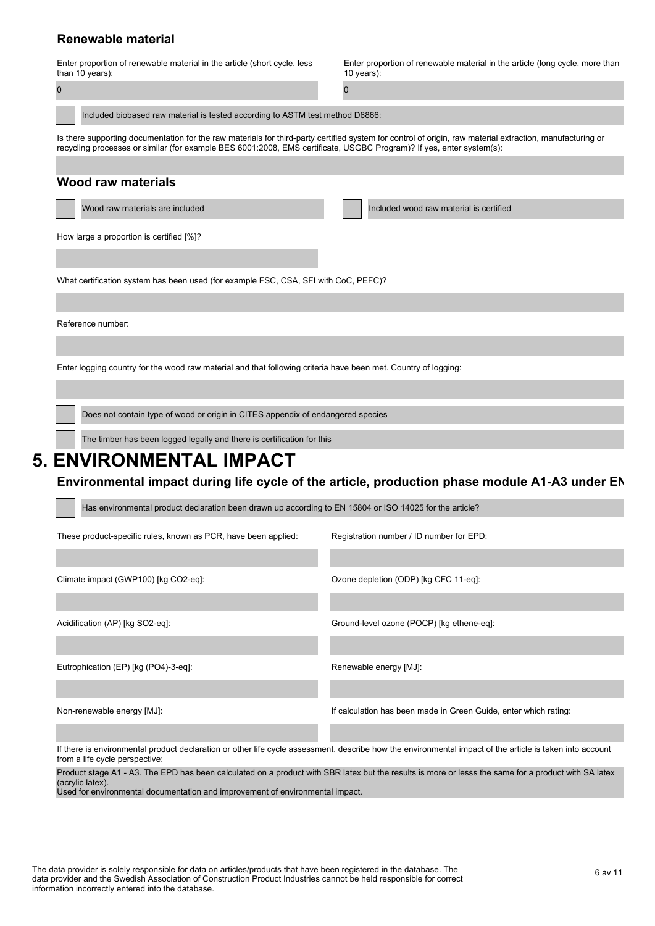### **Renewable material**

|                                                                                                                                                                                                                                                                                   | Enter proportion of renewable material in the article (short cycle, less            | Enter proportion of renewable material in the article (long cycle, more than |
|-----------------------------------------------------------------------------------------------------------------------------------------------------------------------------------------------------------------------------------------------------------------------------------|-------------------------------------------------------------------------------------|------------------------------------------------------------------------------|
|                                                                                                                                                                                                                                                                                   | than 10 years):                                                                     | 10 years):                                                                   |
|                                                                                                                                                                                                                                                                                   |                                                                                     |                                                                              |
|                                                                                                                                                                                                                                                                                   |                                                                                     |                                                                              |
|                                                                                                                                                                                                                                                                                   | Included biobased raw material is tested according to ASTM test method D6866:       |                                                                              |
| Is there supporting documentation for the raw materials for third-party certified system for control of origin, raw material extraction, manufacturing or<br>recycling processes or similar (for example BES 6001:2008, EMS certificate, USGBC Program)? If yes, enter system(s): |                                                                                     |                                                                              |
|                                                                                                                                                                                                                                                                                   |                                                                                     |                                                                              |
|                                                                                                                                                                                                                                                                                   | Wood raw materials                                                                  |                                                                              |
|                                                                                                                                                                                                                                                                                   | Wood raw materials are included                                                     | Included wood raw material is certified                                      |
|                                                                                                                                                                                                                                                                                   | How large a proportion is certified [%]?                                            |                                                                              |
|                                                                                                                                                                                                                                                                                   |                                                                                     |                                                                              |
|                                                                                                                                                                                                                                                                                   | What certification system has been used (for example FSC, CSA, SFI with CoC, PEFC)? |                                                                              |

Reference number:

Enter logging country for the wood raw material and that following criteria have been met. Country of logging:

Does not contain type of wood or origin in CITES appendix of endangered species

The timber has been logged legally and there is certification for this

## **5. ENVIRONMENTAL IMPACT**

#### Environmental impact during life cycle of the article, production phase module A1-A3 under EN

| Has environmental product declaration been drawn up according to EN 15804 or ISO 14025 for the article? |                                                                                                                                                          |  |
|---------------------------------------------------------------------------------------------------------|----------------------------------------------------------------------------------------------------------------------------------------------------------|--|
| These product-specific rules, known as PCR, have been applied:                                          | Registration number / ID number for EPD:                                                                                                                 |  |
|                                                                                                         |                                                                                                                                                          |  |
| Climate impact (GWP100) [kg CO2-eq]:                                                                    | Ozone depletion (ODP) [kg CFC 11-eq]:                                                                                                                    |  |
|                                                                                                         |                                                                                                                                                          |  |
| Acidification (AP) [kg SO2-eq]:                                                                         | Ground-level ozone (POCP) [kg ethene-eq]:                                                                                                                |  |
|                                                                                                         |                                                                                                                                                          |  |
| Eutrophication (EP) [kg (PO4)-3-eq]:                                                                    | Renewable energy [MJ]:                                                                                                                                   |  |
|                                                                                                         |                                                                                                                                                          |  |
| Non-renewable energy [MJ]:                                                                              | If calculation has been made in Green Guide, enter which rating:                                                                                         |  |
|                                                                                                         |                                                                                                                                                          |  |
|                                                                                                         | If there is environmental product declaration or other life cycle assessment, describe how the environmental impact of the article is taken into account |  |

from a life cycle perspective:

Product stage A1 - A3. The EPD has been calculated on a product with SBR latex but the results is more or lesss the same for a product with SA latex (acrylic latex).

Used for environmental documentation and improvement of environmental impact.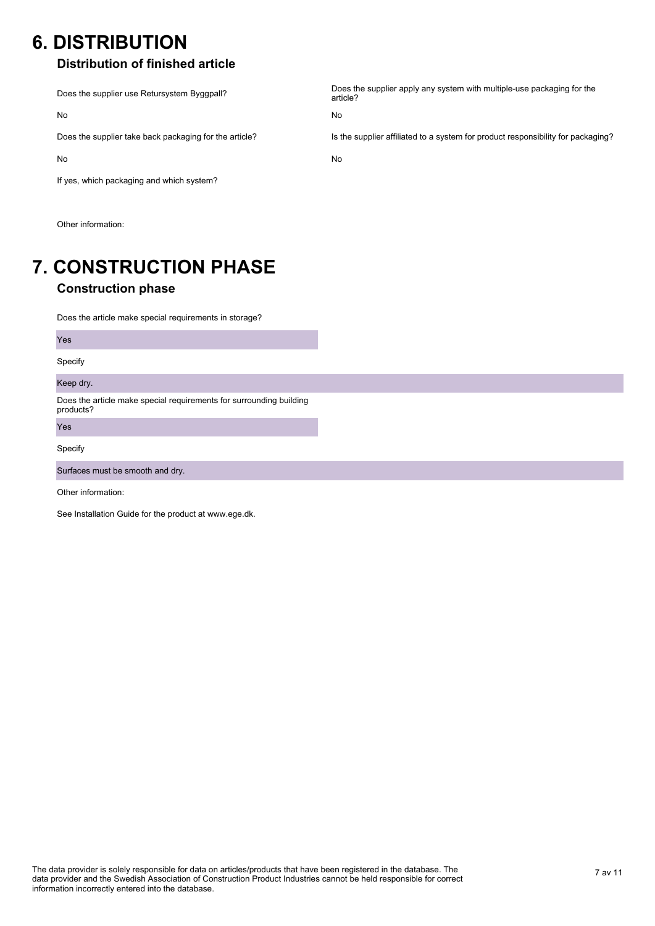## **6. DISTRIBUTION**

### **Distribution of finished article**

Does the supplier use Retursystem Byggpall? No Does the supplier apply any system with multiple-use packaging for the article? No Does the supplier take back packaging for the article? No Is the supplier affiliated to a system for product responsibility for packaging? No If yes, which packaging and which system?

Other information:

### **7. CONSTRUCTION PHASE Construction phase**

Does the article make special requirements in storage?

Does the article make special requirements for surrounding building products? Yes Yes Specify Keep dry. Specify Surfaces must be smooth and dry.

Other information:

See Installation Guide for the product at www.ege.dk.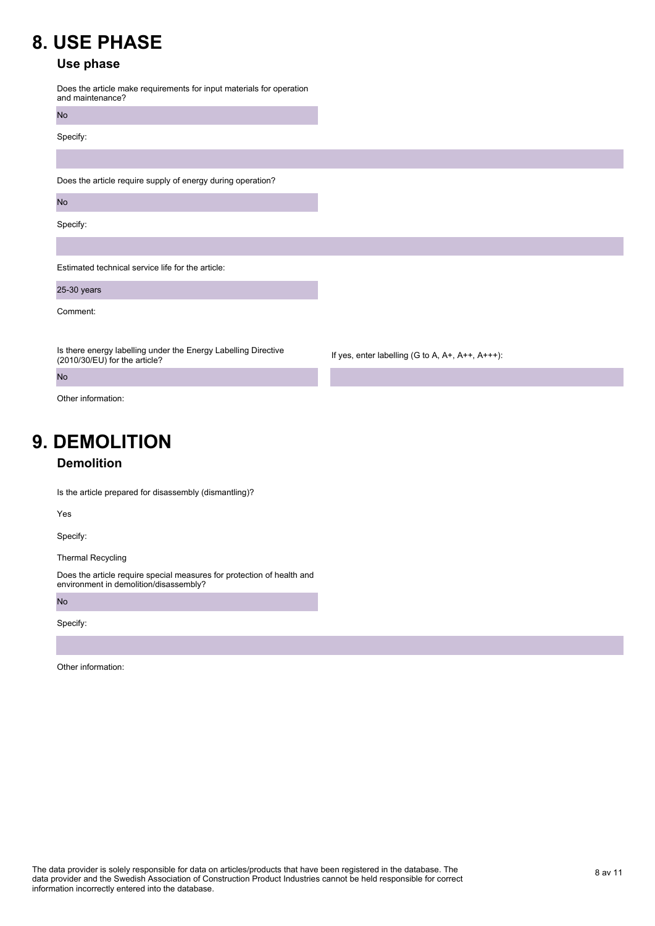## **8. USE PHASE**

### **Use phase**

Does the article make requirements for input materials for operation and maintenance?

No

Specify:

Does the article require supply of energy during operation?

No

Specify:

Estimated technical service life for the article:

25-30 years

Comment:

No

Is there energy labelling under the Energy Labelling Directive (2010/30/EU) for the article?

If yes, enter labelling (G to A, A+, A++, A+++):

Other information:

# **9. DEMOLITION**

### **Demolition**

Is the article prepared for disassembly (dismantling)?

Yes

Specify:

Thermal Recycling

Does the article require special measures for protection of health and environment in demolition/disassembly?

No

Specify:

Other information: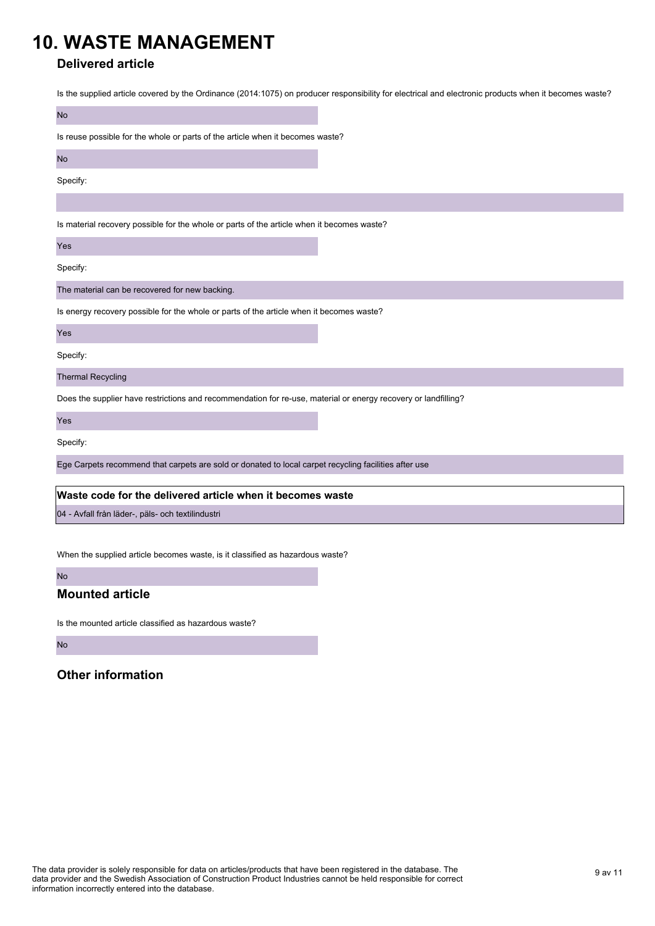## **10. WASTE MANAGEMENT**

### **Delivered article**

Is the supplied article covered by the Ordinance (2014:1075) on producer responsibility for electrical and electronic products when it becomes waste?

| <b>No</b>                                                                                                      |  |  |
|----------------------------------------------------------------------------------------------------------------|--|--|
| Is reuse possible for the whole or parts of the article when it becomes waste?                                 |  |  |
| <b>No</b>                                                                                                      |  |  |
| Specify:                                                                                                       |  |  |
|                                                                                                                |  |  |
| Is material recovery possible for the whole or parts of the article when it becomes waste?                     |  |  |
| Yes                                                                                                            |  |  |
| Specify:                                                                                                       |  |  |
| The material can be recovered for new backing.                                                                 |  |  |
| Is energy recovery possible for the whole or parts of the article when it becomes waste?                       |  |  |
| Yes                                                                                                            |  |  |
| Specify:                                                                                                       |  |  |
| <b>Thermal Recycling</b>                                                                                       |  |  |
| Does the supplier have restrictions and recommendation for re-use, material or energy recovery or landfilling? |  |  |
| Yes                                                                                                            |  |  |
| Specify:                                                                                                       |  |  |
| Ege Carpets recommend that carpets are sold or donated to local carpet recycling facilities after use          |  |  |
| Waste code for the delivered article when it becomes waste                                                     |  |  |
|                                                                                                                |  |  |
| 04 - Avfall från läder-, päls- och textilindustri                                                              |  |  |

When the supplied article becomes waste, is it classified as hazardous waste?

#### No

### **Mounted article**

Is the mounted article classified as hazardous waste?

No

### **Other information**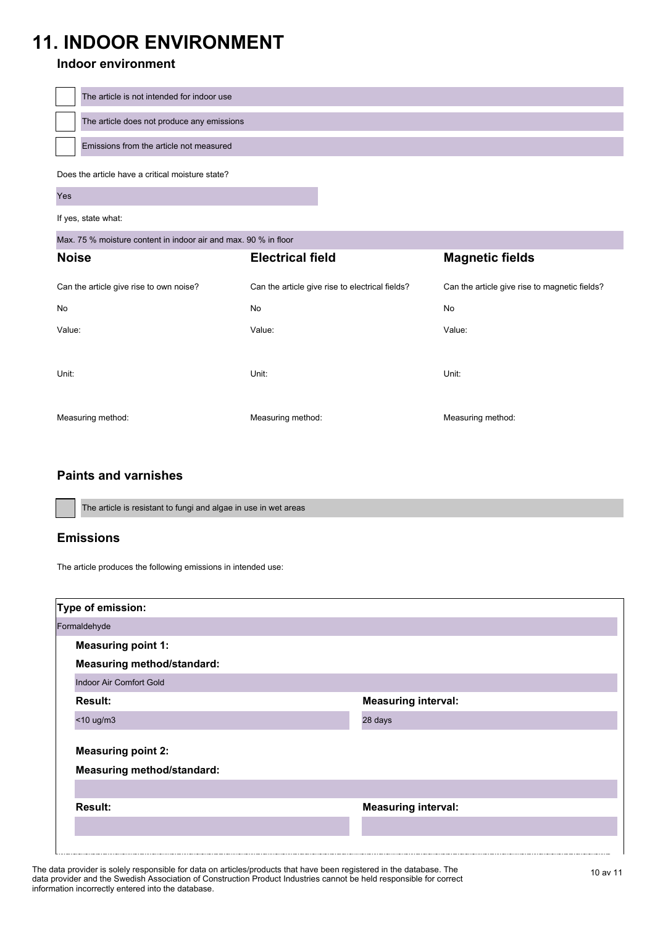# **11. INDOOR ENVIRONMENT**

### **Indoor environment**

| The article is not intended for indoor use       |
|--------------------------------------------------|
| The article does not produce any emissions       |
| Emissions from the article not measured          |
| Does the article have a critical moisture state? |

Yes

If yes, state what:

Max. 75 % moisture content in indoor air and max. 90 % in floor

| <b>Noise</b>                            | <b>Electrical field</b>                         | <b>Magnetic fields</b>                        |
|-----------------------------------------|-------------------------------------------------|-----------------------------------------------|
| Can the article give rise to own noise? | Can the article give rise to electrical fields? | Can the article give rise to magnetic fields? |
| No                                      | No                                              | No                                            |
| Value:                                  | Value:                                          | Value:                                        |
| Unit:                                   | Unit:                                           | Unit:                                         |
| Measuring method:                       | Measuring method:                               | Measuring method:                             |

### **Paints and varnishes**

The article is resistant to fungi and algae in use in wet areas

### **Emissions**

The article produces the following emissions in intended use:

| Type of emission:                                              |                            |  |
|----------------------------------------------------------------|----------------------------|--|
| Formaldehyde                                                   |                            |  |
| <b>Measuring point 1:</b>                                      |                            |  |
| <b>Measuring method/standard:</b>                              |                            |  |
| <b>Indoor Air Comfort Gold</b>                                 |                            |  |
| <b>Result:</b>                                                 | <b>Measuring interval:</b> |  |
| $<$ 10 ug/m3                                                   | 28 days                    |  |
| <b>Measuring point 2:</b><br><b>Measuring method/standard:</b> |                            |  |
| <b>Result:</b>                                                 | <b>Measuring interval:</b> |  |
|                                                                |                            |  |

The data provider is solely responsible for data on articles/products that have been registered in the database. The 10 av 11 data provider and the Swedish Association of Construction Product Industries cannot be held responsible for correct information incorrectly entered into the database.